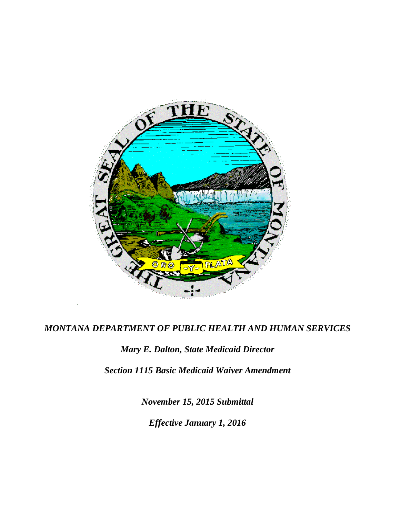

# *MONTANA DEPARTMENT OF PUBLIC HEALTH AND HUMAN SERVICES*

# *Mary E. Dalton, State Medicaid Director*

*Section 1115 Basic Medicaid Waiver Amendment*

*November 15, 2015 Submittal Effective January 1, 2016*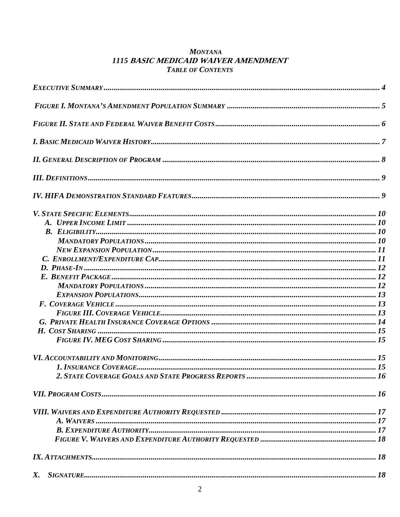### **MONTANA** 1115 BASIC MEDICAID WAIVER AMENDMENT **TABLE OF CONTENTS**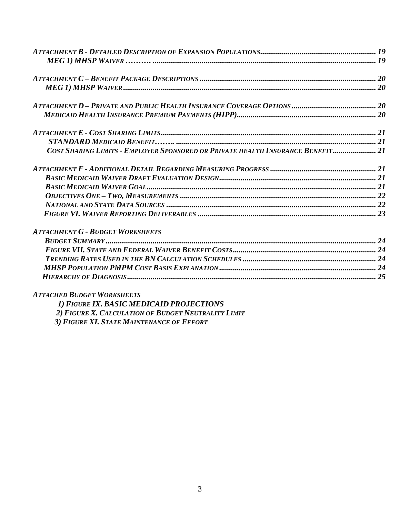| COST SHARING LIMITS - EMPLOYER SPONSORED OR PRIVATE HEALTH INSURANCE BENEFIT 21 |  |
|---------------------------------------------------------------------------------|--|
|                                                                                 |  |
|                                                                                 |  |
|                                                                                 |  |
|                                                                                 |  |
|                                                                                 |  |
|                                                                                 |  |
| <b>ATTACHMENT G - BUDGET WORKSHEETS</b>                                         |  |
|                                                                                 |  |
|                                                                                 |  |
|                                                                                 |  |
|                                                                                 |  |
|                                                                                 |  |

# *ATTACHED BUDGET WORKSHEETS*

| 1) FIGURE IX. BASIC MEDICAID PROJECTIONS            |
|-----------------------------------------------------|
| 2) FIGURE X. CALCULATION OF BUDGET NEUTRALITY LIMIT |
| 3) FIGURE XI. STATE MAINTENANCE OF EFFORT           |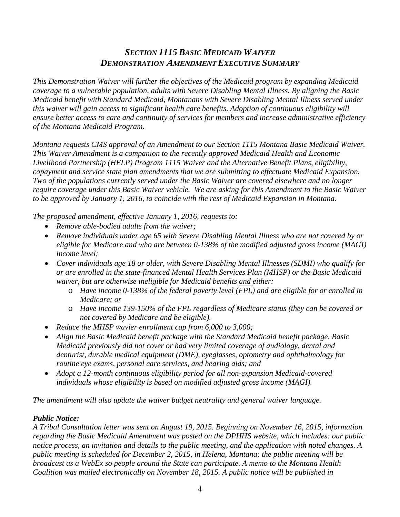# *SECTION 1115 BASIC MEDICAID W***AIVER** *DEMONSTRATION* **AMENDMENT** *EXECUTIVE SUMMARY*

*This Demonstration Waiver will further the objectives of the Medicaid program by expanding Medicaid coverage to a vulnerable population, adults with Severe Disabling Mental Illness. By aligning the Basic Medicaid benefit with Standard Medicaid, Montanans with Severe Disabling Mental Illness served under this waiver will gain access to significant health care benefits. Adoption of continuous eligibility will ensure better access to care and continuity of services for members and increase administrative efficiency of the Montana Medicaid Program.*

*Montana requests CMS approval of an Amendment to our Section 1115 Montana Basic Medicaid Waiver. This Waiver Amendment is a companion to the recently approved Medicaid Health and Economic Livelihood Partnership (HELP) Program 1115 Waiver and the Alternative Benefit Plans, eligibility, copayment and service state plan amendments that we are submitting to effectuate Medicaid Expansion. Two of the populations currently served under the Basic Waiver are covered elsewhere and no longer require coverage under this Basic Waiver vehicle. We are asking for this Amendment to the Basic Waiver to be approved by January 1, 2016, to coincide with the rest of Medicaid Expansion in Montana.* 

*The proposed amendment, effective January 1, 2016, requests to:*

- *Remove able-bodied adults from the waiver;*
- *Remove individuals under age 65 with Severe Disabling Mental Illness who are not covered by or eligible for Medicare and who are between 0-138% of the modified adjusted gross income (MAGI) income level;*
- *Cover individuals age 18 or older, with Severe Disabling Mental Illnesses (SDMI) who qualify for or are enrolled in the state-financed Mental Health Services Plan (MHSP) or the Basic Medicaid waiver, but are otherwise ineligible for Medicaid benefits and either:*
	- o *Have income 0-138% of the federal poverty level (FPL) and are eligible for or enrolled in Medicare; or*
	- o *Have income 139-150% of the FPL regardless of Medicare status (they can be covered or not covered by Medicare and be eligible).*
- *Reduce the MHSP wavier enrollment cap from 6,000 to 3,000;*
- *Align the Basic Medicaid benefit package with the Standard Medicaid benefit package. Basic Medicaid previously did not cover or had very limited coverage of audiology, dental and denturist, durable medical equipment (DME), eyeglasses, optometry and ophthalmology for routine eye exams, personal care services, and hearing aids; and*
- *Adopt a 12-month continuous eligibility period for all non-expansion Medicaid-covered individuals whose eligibility is based on modified adjusted gross income (MAGI).*

*The amendment will also update the waiver budget neutrality and general waiver language.* 

### *Public Notice:*

*A Tribal Consultation letter was sent on August 19, 2015. Beginning on November 16, 2015, information regarding the Basic Medicaid Amendment was posted on the DPHHS website, which includes: our public notice process, an invitation and details to the public meeting, and the application with noted changes. A public meeting is scheduled for December 2, 2015, in Helena, Montana; the public meeting will be broadcast as a WebEx so people around the State can participate. A memo to the Montana Health Coalition was mailed electronically on November 18, 2015. A public notice will be published in*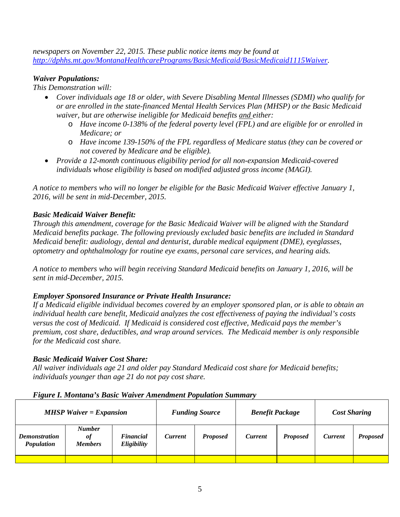*newspapers on November 22, 2015. These public notice items may be found at [http://dphhs.mt.gov/MontanaHealthcarePrograms/BasicMedicaid/BasicMedicaid1115Waiver.](http://dphhs.mt.gov/MontanaHealthcarePrograms/BasicMedicaid/BasicMedicaid1115Waiver)* 

### *Waiver Populations:*

*This Demonstration will:*

- *Cover individuals age 18 or older, with Severe Disabling Mental Illnesses (SDMI) who qualify for or are enrolled in the state-financed Mental Health Services Plan (MHSP) or the Basic Medicaid waiver, but are otherwise ineligible for Medicaid benefits and either:*
	- o *Have income 0-138% of the federal poverty level (FPL) and are eligible for or enrolled in Medicare; or*
	- o *Have income 139-150% of the FPL regardless of Medicare status (they can be covered or not covered by Medicare and be eligible).*
- *Provide a 12-month continuous eligibility period for all non-expansion Medicaid-covered individuals whose eligibility is based on modified adjusted gross income (MAGI).*

*A notice to members who will no longer be eligible for the Basic Medicaid Waiver effective January 1, 2016, will be sent in mid-December, 2015.*

### *Basic Medicaid Waiver Benefit:*

*Through this amendment, coverage for the Basic Medicaid Waiver will be aligned with the Standard Medicaid benefits package. The following previously excluded basic benefits are included in Standard Medicaid benefit: audiology, dental and denturist, durable medical equipment (DME), eyeglasses, optometry and ophthalmology for routine eye exams, personal care services, and hearing aids.* 

*A notice to members who will begin receiving Standard Medicaid benefits on January 1, 2016, will be sent in mid-December, 2015.*

# *Employer Sponsored Insurance or Private Health Insurance:*

*If a Medicaid eligible individual becomes covered by an employer sponsored plan, or is able to obtain an individual health care benefit, Medicaid analyzes the cost effectiveness of paying the individual's costs versus the cost of Medicaid. If Medicaid is considered cost effective, Medicaid pays the member's premium, cost share, deductibles, and wrap around services. The Medicaid member is only responsible for the Medicaid cost share.* 

# *Basic Medicaid Waiver Cost Share:*

*All waiver individuals age 21 and older pay Standard Medicaid cost share for Medicaid benefits; individuals younger than age 21 do not pay cost share.* 

### *Figure I. Montana's Basic Waiver Amendment Population Summary*

| $MHSP$ Waiver = Expansion          |                                       | <b>Funding Source</b>           |                | <b>Benefit Package</b> |                | <b>Cost Sharing</b> |                |                 |
|------------------------------------|---------------------------------------|---------------------------------|----------------|------------------------|----------------|---------------------|----------------|-----------------|
| <b>Demonstration</b><br>Population | <b>Number</b><br>of<br><b>Members</b> | <b>Financial</b><br>Eligibility | <b>Current</b> | <b>Proposed</b>        | <b>Current</b> | <b>Proposed</b>     | <b>Current</b> | <b>Proposed</b> |
|                                    |                                       |                                 |                |                        |                |                     |                |                 |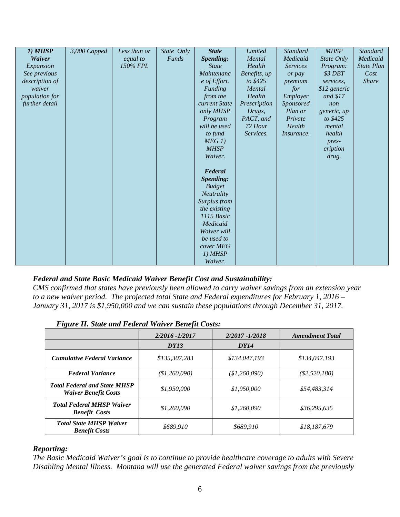| 1) MHSP               | $3,000$ Capped | Less than or | State Only   | <b>State</b>      | Limited      | <b>Standard</b>   | <b>MHSP</b>  | Standard          |
|-----------------------|----------------|--------------|--------------|-------------------|--------------|-------------------|--------------|-------------------|
| Waiver                |                | equal to     | <b>Funds</b> | Spending:         | Mental       | Medicaid          | State Only   | Medicaid          |
| Expansion             |                | 150% FPL     |              | <b>State</b>      | Health       | <b>Services</b>   | Program:     | <b>State Plan</b> |
| See previous          |                |              |              | Maintenanc        | Benefits, up | or pay            | \$3 DBT      | Cost              |
| description of        |                |              |              | e of Effort.      | to \$425     | premium           | services.    | <b>Share</b>      |
| waiver                |                |              |              | Funding           | Mental       | for               | \$12 generic |                   |
| <i>population for</i> |                |              |              | from the          | Health       | Employer          | and $$17$    |                   |
| further detail        |                |              |              | current State     | Prescription | Sponsored         | non          |                   |
|                       |                |              |              | only MHSP         | Drugs,       | Plan or           | generic, up  |                   |
|                       |                |              |              | Program           | PACT, and    | Private           | to \$425     |                   |
|                       |                |              |              | will be used      | 72 Hour      | Health            | mental       |                   |
|                       |                |              |              | to fund           | Services.    | <i>Insurance.</i> | health       |                   |
|                       |                |              |              | MEG1              |              |                   | pres-        |                   |
|                       |                |              |              | <b>MHSP</b>       |              |                   | cription     |                   |
|                       |                |              |              | Waiver.           |              |                   | drug.        |                   |
|                       |                |              |              |                   |              |                   |              |                   |
|                       |                |              |              | Federal           |              |                   |              |                   |
|                       |                |              |              | Spending:         |              |                   |              |                   |
|                       |                |              |              | <b>Budget</b>     |              |                   |              |                   |
|                       |                |              |              | <b>Neutrality</b> |              |                   |              |                   |
|                       |                |              |              | Surplus from      |              |                   |              |                   |
|                       |                |              |              | the existing      |              |                   |              |                   |
|                       |                |              |              | 1115 Basic        |              |                   |              |                   |
|                       |                |              |              | Medicaid          |              |                   |              |                   |
|                       |                |              |              | Waiver will       |              |                   |              |                   |
|                       |                |              |              | be used to        |              |                   |              |                   |
|                       |                |              |              | cover MEG         |              |                   |              |                   |
|                       |                |              |              | 1) MHSP           |              |                   |              |                   |
|                       |                |              |              | Waiver.           |              |                   |              |                   |

### *Federal and State Basic Medicaid Waiver Benefit Cost and Sustainability:*

*CMS confirmed that states have previously been allowed to carry waiver savings from an extension year to a new waiver period. The projected total State and Federal expenditures for February 1, 2016 – January 31, 2017 is \$1,950,000 and we can sustain these populations through December 31, 2017.* 

|  |  | <b>Figure II. State and Federal Waiver Benefit Costs:</b> |
|--|--|-----------------------------------------------------------|
|  |  |                                                           |

|                                                                    | 2/2016 - 1/2017 | $2/2017 - 1/2018$ | <b>Amendment Total</b> |
|--------------------------------------------------------------------|-----------------|-------------------|------------------------|
|                                                                    | <b>DY13</b>     | <b>DY14</b>       |                        |
| <b>Cumulative Federal Variance</b>                                 | \$135,307,283   | \$134,047,193     | \$134,047,193          |
| <b>Federal Variance</b>                                            | \$1,260,090)    | (\$1,260,090)     | $(\$2,520,180)$        |
| <b>Total Federal and State MHSP</b><br><b>Waiver Benefit Costs</b> | \$1,950,000     | \$1,950,000       | \$54,483,314           |
| <b>Total Federal MHSP Waiver</b><br><b>Benefit Costs</b>           | \$1,260,090     | \$1,260,090       | \$36,295,635           |
| <b>Total State MHSP Waiver</b><br><b>Benefit Costs</b>             | \$689,910       | \$689.910         | \$18,187,679           |

#### *Reporting:*

*The Basic Medicaid Waiver's goal is to continue to provide healthcare coverage to adults with Severe Disabling Mental Illness. Montana will use the generated Federal waiver savings from the previously*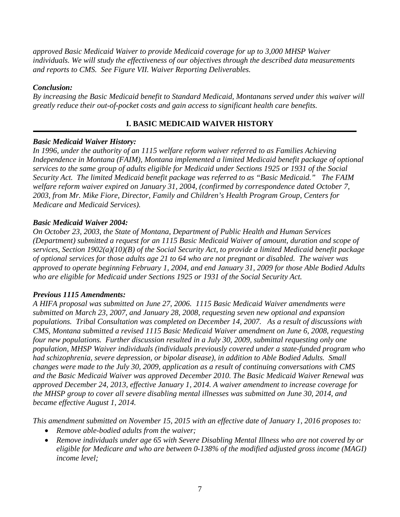*approved Basic Medicaid Waiver to provide Medicaid coverage for up to 3,000 MHSP Waiver individuals. We will study the effectiveness of our objectives through the described data measurements and reports to CMS. See Figure VII. Waiver Reporting Deliverables.* 

### *Conclusion:*

*By increasing the Basic Medicaid benefit to Standard Medicaid, Montanans served under this waiver will greatly reduce their out-of-pocket costs and gain access to significant health care benefits.* 

# **I. BASIC MEDICAID WAIVER HISTORY**

### *Basic Medicaid Waiver History:*

*In 1996, under the authority of an 1115 welfare reform waiver referred to as Families Achieving Independence in Montana (FAIM), Montana implemented a limited Medicaid benefit package of optional services to the same group of adults eligible for Medicaid under Sections 1925 or 1931 of the Social Security Act. The limited Medicaid benefit package was referred to as "Basic Medicaid." The FAIM welfare reform waiver expired on January 31, 2004, (confirmed by correspondence dated October 7, 2003, from Mr. Mike Fiore, Director, Family and Children's Health Program Group, Centers for Medicare and Medicaid Services).*

### *Basic Medicaid Waiver 2004:*

*On October 23, 2003, the State of Montana, Department of Public Health and Human Services (Department) submitted a request for an 1115 Basic Medicaid Waiver of amount, duration and scope of services, Section 1902(a)(10)(B) of the Social Security Act, to provide a limited Medicaid benefit package of optional services for those adults age 21 to 64 who are not pregnant or disabled. The waiver was approved to operate beginning February 1, 2004, and end January 31, 2009 for those Able Bodied Adults who are eligible for Medicaid under Sections 1925 or 1931 of the Social Security Act.* 

### *Previous 1115 Amendments:*

*A HIFA proposal was submitted on June 27, 2006. 1115 Basic Medicaid Waiver amendments were submitted on March 23, 2007, and January 28, 2008, requesting seven new optional and expansion populations. Tribal Consultation was completed on December 14, 2007. As a result of discussions with CMS, Montana submitted a revised 1115 Basic Medicaid Waiver amendment on June 6, 2008, requesting four new populations. Further discussion resulted in a July 30, 2009, submittal requesting only one population, MHSP Waiver individuals (individuals previously covered under a state-funded program who had schizophrenia, severe depression, or bipolar disease), in addition to Able Bodied Adults. Small changes were made to the July 30, 2009, application as a result of continuing conversations with CMS and the Basic Medicaid Waiver was approved December 2010. The Basic Medicaid Waiver Renewal was approved December 24, 2013, effective January 1, 2014. A waiver amendment to increase coverage for the MHSP group to cover all severe disabling mental illnesses was submitted on June 30, 2014, and became effective August 1, 2014.* 

*This amendment submitted on November 15, 2015 with an effective date of January 1, 2016 proposes to:* 

- *Remove able-bodied adults from the waiver;*
- *Remove individuals under age 65 with Severe Disabling Mental Illness who are not covered by or eligible for Medicare and who are between 0-138% of the modified adjusted gross income (MAGI) income level;*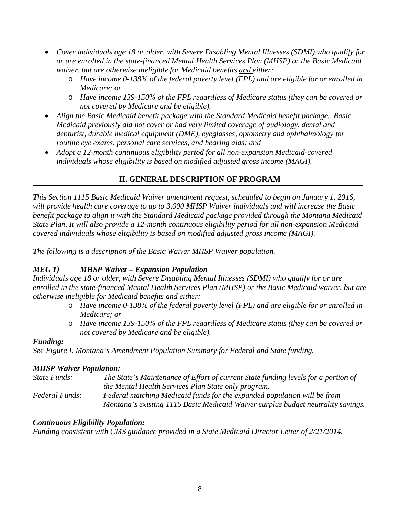- *Cover individuals age 18 or older, with Severe Disabling Mental Illnesses (SDMI) who qualify for or are enrolled in the state-financed Mental Health Services Plan (MHSP) or the Basic Medicaid waiver, but are otherwise ineligible for Medicaid benefits and either:*
	- o *Have income 0-138% of the federal poverty level (FPL) and are eligible for or enrolled in Medicare; or*
	- o *Have income 139-150% of the FPL regardless of Medicare status (they can be covered or not covered by Medicare and be eligible).*
- *Align the Basic Medicaid benefit package with the Standard Medicaid benefit package. Basic Medicaid previously did not cover or had very limited coverage of audiology, dental and denturist, durable medical equipment (DME), eyeglasses, optometry and ophthalmology for routine eye exams, personal care services, and hearing aids; and*
- *Adopt a 12-month continuous eligibility period for all non-expansion Medicaid-covered individuals whose eligibility is based on modified adjusted gross income (MAGI).*

# **II. GENERAL DESCRIPTION OF PROGRAM**

*This Section 1115 Basic Medicaid Waiver amendment request, scheduled to begin on January 1, 2016, will provide health care coverage to up to 3,000 MHSP Waiver individuals and will increase the Basic benefit package to align it with the Standard Medicaid package provided through the Montana Medicaid State Plan. It will also provide a 12-month continuous eligibility period for all non-expansion Medicaid covered individuals whose eligibility is based on modified adjusted gross income (MAGI).* 

*The following is a description of the Basic Waiver MHSP Waiver population.*

# *MEG 1) MHSP Waiver – Expansion Population*

*Individuals age 18 or older, with Severe Disabling Mental Illnesses (SDMI) who qualify for or are enrolled in the state-financed Mental Health Services Plan (MHSP) or the Basic Medicaid waiver, but are otherwise ineligible for Medicaid benefits and either:*

- o *Have income 0-138% of the federal poverty level (FPL) and are eligible for or enrolled in Medicare; or*
- o *Have income 139-150% of the FPL regardless of Medicare status (they can be covered or not covered by Medicare and be eligible).*

### *Funding:*

*See Figure I. Montana's Amendment Population Summary for Federal and State funding.*

### *MHSP Waiver Population:*

*State Funds: The State's Maintenance of Effort of current State funding levels for a portion of the Mental Health Services Plan State only program. Federal Funds: Federal matching Medicaid funds for the expanded population will be from Montana's existing 1115 Basic Medicaid Waiver surplus budget neutrality savings.* 

# *Continuous Eligibility Population:*

*Funding consistent with CMS guidance provided in a State Medicaid Director Letter of 2/21/2014.*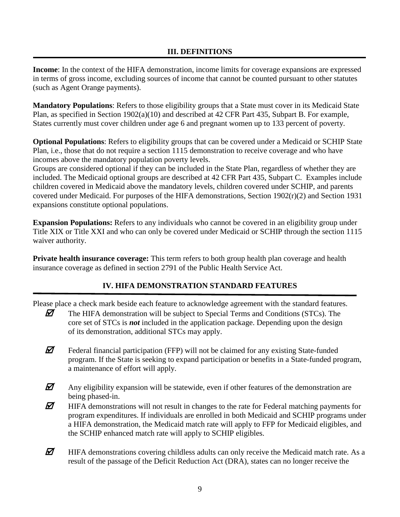### **III. DEFINITIONS**

**Income**: In the context of the HIFA demonstration, income limits for coverage expansions are expressed in terms of gross income, excluding sources of income that cannot be counted pursuant to other statutes (such as Agent Orange payments).

**Mandatory Populations**: Refers to those eligibility groups that a State must cover in its Medicaid State Plan, as specified in Section 1902(a)(10) and described at 42 CFR Part 435, Subpart B. For example, States currently must cover children under age 6 and pregnant women up to 133 percent of poverty.

**Optional Populations**: Refers to eligibility groups that can be covered under a Medicaid or SCHIP State Plan, i.e., those that do not require a section 1115 demonstration to receive coverage and who have incomes above the mandatory population poverty levels.

Groups are considered optional if they can be included in the State Plan, regardless of whether they are included. The Medicaid optional groups are described at 42 CFR Part 435, Subpart C. Examples include children covered in Medicaid above the mandatory levels, children covered under SCHIP, and parents covered under Medicaid. For purposes of the HIFA demonstrations, Section 1902(r)(2) and Section 1931 expansions constitute optional populations.

**Expansion Populations:** Refers to any individuals who cannot be covered in an eligibility group under Title XIX or Title XXI and who can only be covered under Medicaid or SCHIP through the section 1115 waiver authority.

**Private health insurance coverage:** This term refers to both group health plan coverage and health insurance coverage as defined in section 2791 of the Public Health Service Act.

### **IV. HIFA DEMONSTRATION STANDARD FEATURES**

Please place a check mark beside each feature to acknowledge agreement with the standard features.

- $\mathbb Z$  The HIFA demonstration will be subject to Special Terms and Conditions (STCs). The core set of STCs is *not* included in the application package. Depending upon the design of its demonstration, additional STCs may apply.
- $\mathbb Z$  Federal financial participation (FFP) will not be claimed for any existing State-funded program. If the State is seeking to expand participation or benefits in a State-funded program, a maintenance of effort will apply.
- $\mathbb Z$  Any eligibility expansion will be statewide, even if other features of the demonstration are being phased-in.
- $\mathbb Z$  HIFA demonstrations will not result in changes to the rate for Federal matching payments for program expenditures. If individuals are enrolled in both Medicaid and SCHIP programs under a HIFA demonstration, the Medicaid match rate will apply to FFP for Medicaid eligibles, and the SCHIP enhanced match rate will apply to SCHIP eligibles.
- $\mathbb Z$  HIFA demonstrations covering childless adults can only receive the Medicaid match rate. As a result of the passage of the Deficit Reduction Act (DRA), states can no longer receive the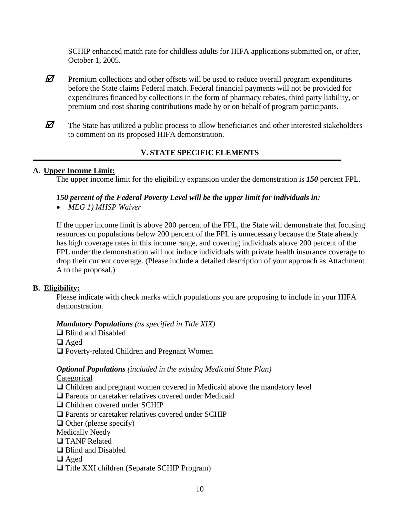SCHIP enhanced match rate for childless adults for HIFA applications submitted on, or after, October 1, 2005.

- $\mathbb{Z}$  Premium collections and other offsets will be used to reduce overall program expenditures before the State claims Federal match. Federal financial payments will not be provided for expenditures financed by collections in the form of pharmacy rebates, third party liability, or premium and cost sharing contributions made by or on behalf of program participants.
- $\mathbb Z$  The State has utilized a public process to allow beneficiaries and other interested stakeholders to comment on its proposed HIFA demonstration.

# **V. STATE SPECIFIC ELEMENTS**

### **A. Upper Income Limit:**

The upper income limit for the eligibility expansion under the demonstration is *150* percent FPL.

### *150 percent of the Federal Poverty Level will be the upper limit for individuals in:*

• *MEG 1) MHSP Waiver*

If the upper income limit is above 200 percent of the FPL, the State will demonstrate that focusing resources on populations below 200 percent of the FPL is unnecessary because the State already has high coverage rates in this income range, and covering individuals above 200 percent of the FPL under the demonstration will not induce individuals with private health insurance coverage to drop their current coverage. (Please include a detailed description of your approach as Attachment A to the proposal.)

### **B. Eligibility:**

Please indicate with check marks which populations you are proposing to include in your HIFA demonstration.

### *Mandatory Populations (as specified in Title XIX)*

□ Blind and Disabled

- □ Aged
- □ Poverty-related Children and Pregnant Women

# *Optional Populations (included in the existing Medicaid State Plan)*

Categorical

- Children and pregnant women covered in Medicaid above the mandatory level
- □ Parents or caretaker relatives covered under Medicaid
- □ Children covered under SCHIP
- □ Parents or caretaker relatives covered under SCHIP
- $\Box$  Other (please specify)
- Medically Needy
- **TANF** Related
- **□** Blind and Disabled
- □ Aged
- $\Box$  Title XXI children (Separate SCHIP Program)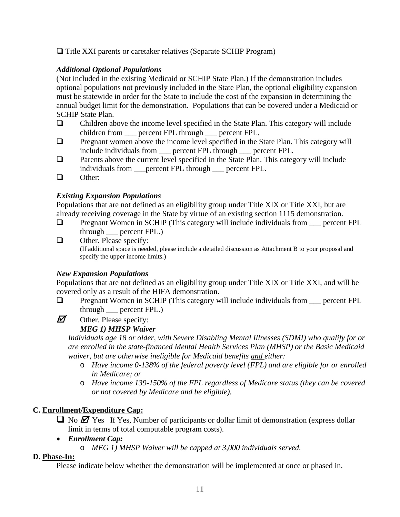$\Box$  Title XXI parents or caretaker relatives (Separate SCHIP Program)

### *Additional Optional Populations*

(Not included in the existing Medicaid or SCHIP State Plan.) If the demonstration includes optional populations not previously included in the State Plan, the optional eligibility expansion must be statewide in order for the State to include the cost of the expansion in determining the annual budget limit for the demonstration. Populations that can be covered under a Medicaid or SCHIP State Plan.

- $\Box$  Children above the income level specified in the State Plan. This category will include children from \_\_\_ percent FPL through \_\_\_ percent FPL.
- $\Box$  Pregnant women above the income level specified in the State Plan. This category will include individuals from \_\_\_ percent FPL through \_\_\_ percent FPL.
- $\Box$  Parents above the current level specified in the State Plan. This category will include individuals from \_\_\_percent FPL through \_\_\_ percent FPL.
- □ Other:

# *Existing Expansion Populations*

Populations that are not defined as an eligibility group under Title XIX or Title XXI, but are already receiving coverage in the State by virtue of an existing section 1115 demonstration.

- Pregnant Women in SCHIP (This category will include individuals from \_\_\_ percent FPL through \_\_\_ percent FPL.)
- $\Box$  Other. Please specify: (If additional space is needed, please include a detailed discussion as Attachment B to your proposal and specify the upper income limits.)

# *New Expansion Populations*

Populations that are not defined as an eligibility group under Title XIX or Title XXI, and will be covered only as a result of the HIFA demonstration.

- $\Box$  Pregnant Women in SCHIP (This category will include individuals from  $\Box$  percent FPL through \_\_\_ percent FPL.)
- $\mathbf{\overline{Z}}$  Other. Please specify:

# *MEG 1) MHSP Waiver*

*Individuals age 18 or older, with Severe Disabling Mental Illnesses (SDMI) who qualify for or are enrolled in the state-financed Mental Health Services Plan (MHSP) or the Basic Medicaid waiver, but are otherwise ineligible for Medicaid benefits and either:*

- o *Have income 0-138% of the federal poverty level (FPL) and are eligible for or enrolled in Medicare; or*
- o *Have income 139-150% of the FPL regardless of Medicare status (they can be covered or not covered by Medicare and be eligible).*

# **C. Enrollment/Expenditure Cap:**

- $\Box$  No  $\Box$  Yes If Yes, Number of participants or dollar limit of demonstration (express dollar limit in terms of total computable program costs).
- *Enrollment Cap:*
	- o *MEG 1) MHSP Waiver will be capped at 3,000 individuals served.*

# **D. Phase-In:**

Please indicate below whether the demonstration will be implemented at once or phased in.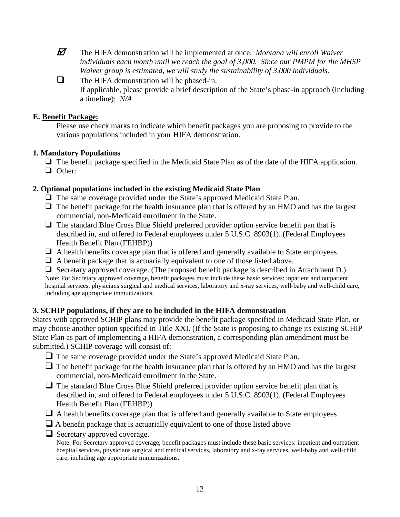The HIFA demonstration will be implemented at once. *Montana will enroll Waiver individuals each month until we reach the goal of 3,000. Since our PMPM for the MHSP Waiver group is estimated, we will study the sustainability of 3,000 individuals.* 

 $\Box$  The HIFA demonstration will be phased-in. If applicable, please provide a brief description of the State's phase-in approach (including a timeline): *N/A*

### **E. Benefit Package:**

Please use check marks to indicate which benefit packages you are proposing to provide to the various populations included in your HIFA demonstration.

# **1. Mandatory Populations**

 $\Box$  The benefit package specified in the Medicaid State Plan as of the date of the HIFA application. □ Other:

# **2. Optional populations included in the existing Medicaid State Plan**

- $\Box$  The same coverage provided under the State's approved Medicaid State Plan.
- $\Box$  The benefit package for the health insurance plan that is offered by an HMO and has the largest commercial, non-Medicaid enrollment in the State.
- $\Box$  The standard Blue Cross Blue Shield preferred provider option service benefit pan that is described in, and offered to Federal employees under 5 U.S.C. 8903(1). (Federal Employees Health Benefit Plan (FEHBP))
- $\Box$  A health benefits coverage plan that is offered and generally available to State employees.
- $\Box$  A benefit package that is actuarially equivalent to one of those listed above.

 $\Box$  Secretary approved coverage. (The proposed benefit package is described in Attachment D.) Note: For Secretary approved coverage, benefit packages must include these basic services: inpatient and outpatient hospital services, physicians surgical and medical services, laboratory and x-ray services, well-baby and well-child care, including age appropriate immunizations.

# **3. SCHIP populations, if they are to be included in the HIFA demonstration**

States with approved SCHIP plans may provide the benefit package specified in Medicaid State Plan, or may choose another option specified in Title XXI. (If the State is proposing to change its existing SCHIP State Plan as part of implementing a HIFA demonstration, a corresponding plan amendment must be submitted.) SCHIP coverage will consist of:

- The same coverage provided under the State's approved Medicaid State Plan.
- $\Box$  The benefit package for the health insurance plan that is offered by an HMO and has the largest commercial, non-Medicaid enrollment in the State.
- $\Box$  The standard Blue Cross Blue Shield preferred provider option service benefit plan that is described in, and offered to Federal employees under 5 U.S.C. 8903(1). (Federal Employees Health Benefit Plan (FEHBP))
- $\Box$  A health benefits coverage plan that is offered and generally available to State employees
- $\Box$  A benefit package that is actuarially equivalent to one of those listed above
- $\Box$  Secretary approved coverage.

Note: For Secretary approved coverage, benefit packages must include these basic services: inpatient and outpatient hospital services, physicians surgical and medical services, laboratory and x-ray services, well-baby and well-child care, including age appropriate immunizations.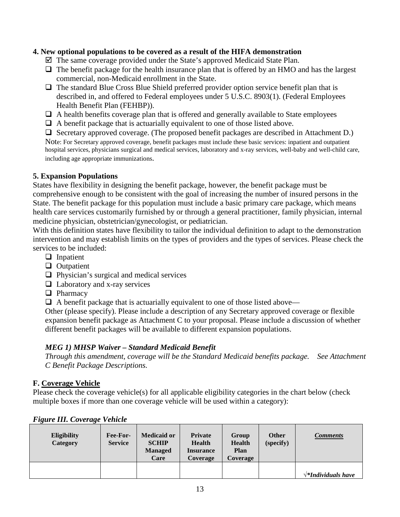### **4. New optional populations to be covered as a result of the HIFA demonstration**

- $\boxtimes$  The same coverage provided under the State's approved Medicaid State Plan.
- $\Box$  The benefit package for the health insurance plan that is offered by an HMO and has the largest commercial, non-Medicaid enrollment in the State.
- $\Box$  The standard Blue Cross Blue Shield preferred provider option service benefit plan that is described in, and offered to Federal employees under 5 U.S.C. 8903(1). (Federal Employees Health Benefit Plan (FEHBP)).
- $\Box$  A health benefits coverage plan that is offered and generally available to State employees
- $\Box$  A benefit package that is actuarially equivalent to one of those listed above.
- $\Box$  Secretary approved coverage. (The proposed benefit packages are described in Attachment D.)

Note: For Secretary approved coverage, benefit packages must include these basic services: inpatient and outpatient hospital services, physicians surgical and medical services, laboratory and x-ray services, well-baby and well-child care, including age appropriate immunizations.

### **5. Expansion Populations**

States have flexibility in designing the benefit package, however, the benefit package must be comprehensive enough to be consistent with the goal of increasing the number of insured persons in the State. The benefit package for this population must include a basic primary care package, which means health care services customarily furnished by or through a general practitioner, family physician, internal medicine physician, obstetrician/gynecologist, or pediatrician.

With this definition states have flexibility to tailor the individual definition to adapt to the demonstration intervention and may establish limits on the types of providers and the types of services. Please check the services to be included:

- $\Box$  Inpatient
- **Q** Outpatient
- $\Box$  Physician's surgical and medical services
- $\Box$  Laboratory and x-ray services
- **D** Pharmacy
- $\Box$  A benefit package that is actuarially equivalent to one of those listed above—

Other (please specify). Please include a description of any Secretary approved coverage or flexible expansion benefit package as Attachment C to your proposal. Please include a discussion of whether different benefit packages will be available to different expansion populations.

### *MEG 1) MHSP Waiver – Standard Medicaid Benefit*

*Through this amendment, coverage will be the Standard Medicaid benefits package. See Attachment C Benefit Package Descriptions.*

#### **F. Coverage Vehicle**

Please check the coverage vehicle(s) for all applicable eligibility categories in the chart below (check multiple boxes if more than one coverage vehicle will be used within a category):

| $\sigma$<br>- 0<br><b>Eligibility</b><br>Category | Fee-For-<br><b>Service</b> | <b>Medicaid or</b><br><b>SCHIP</b><br><b>Managed</b> | <b>Private</b><br><b>Health</b><br><b>Insurance</b> | Group<br><b>Health</b><br><b>Plan</b> | <b>Other</b><br>(specify) | <b>Comments</b>                |
|---------------------------------------------------|----------------------------|------------------------------------------------------|-----------------------------------------------------|---------------------------------------|---------------------------|--------------------------------|
|                                                   |                            | Care                                                 | Coverage                                            | <b>Coverage</b>                       |                           |                                |
|                                                   |                            |                                                      |                                                     |                                       |                           | $\sqrt{\ast}$ Individuals have |

#### *Figure III. Coverage Vehicle*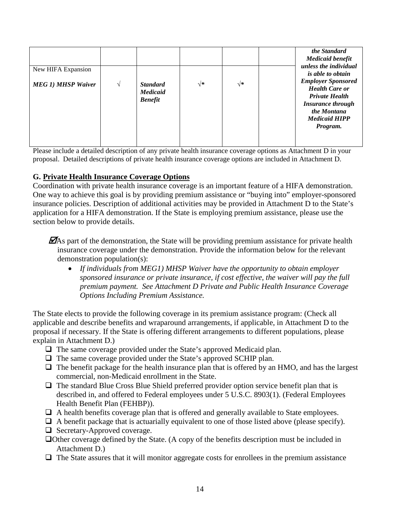|                           |   |                                                      |    |    | the Standard<br><b>Medicaid benefit</b><br>unless the individual                                                                                           |
|---------------------------|---|------------------------------------------------------|----|----|------------------------------------------------------------------------------------------------------------------------------------------------------------|
| New HIFA Expansion        |   |                                                      |    |    | <i>is able to obtain</i>                                                                                                                                   |
| <b>MEG 1) MHSP Waiver</b> | V | <b>Standard</b><br><b>Medicaid</b><br><b>Benefit</b> | √∗ | √∗ | <b>Employer Sponsored</b><br><b>Health Care or</b><br><b>Private Health</b><br><b>Insurance through</b><br>the Montana<br><b>Medicaid HIPP</b><br>Program. |

Please include a detailed description of any private health insurance coverage options as Attachment D in your proposal. Detailed descriptions of private health insurance coverage options are included in Attachment D.

### **G. Private Health Insurance Coverage Options**

Coordination with private health insurance coverage is an important feature of a HIFA demonstration. One way to achieve this goal is by providing premium assistance or "buying into" employer-sponsored insurance policies. Description of additional activities may be provided in Attachment D to the State's application for a HIFA demonstration. If the State is employing premium assistance, please use the section below to provide details.

 $\mathbf{\mathcal{D}}$ As part of the demonstration, the State will be providing premium assistance for private health insurance coverage under the demonstration. Provide the information below for the relevant demonstration population(s):

• *If individuals from MEG1) MHSP Waiver have the opportunity to obtain employer sponsored insurance or private insurance, if cost effective, the waiver will pay the full premium payment. See Attachment D Private and Public Health Insurance Coverage Options Including Premium Assistance.*

The State elects to provide the following coverage in its premium assistance program: (Check all applicable and describe benefits and wraparound arrangements, if applicable, in Attachment D to the proposal if necessary. If the State is offering different arrangements to different populations, please explain in Attachment D.)

- $\Box$  The same coverage provided under the State's approved Medicaid plan.
- The same coverage provided under the State's approved SCHIP plan.
- $\Box$  The benefit package for the health insurance plan that is offered by an HMO, and has the largest commercial, non-Medicaid enrollment in the State.
- $\Box$  The standard Blue Cross Blue Shield preferred provider option service benefit plan that is described in, and offered to Federal employees under 5 U.S.C. 8903(1). (Federal Employees Health Benefit Plan (FEHBP)).
- $\Box$  A health benefits coverage plan that is offered and generally available to State employees.
- $\Box$  A benefit package that is actuarially equivalent to one of those listed above (please specify).
- $\Box$  Secretary-Approved coverage.
- Other coverage defined by the State. (A copy of the benefits description must be included in Attachment D.)
- $\Box$  The State assures that it will monitor aggregate costs for enrollees in the premium assistance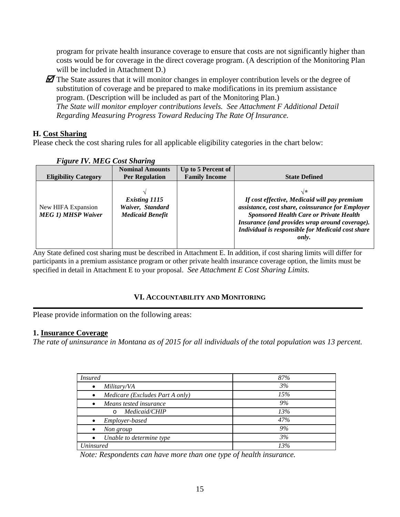program for private health insurance coverage to ensure that costs are not significantly higher than costs would be for coverage in the direct coverage program. (A description of the Monitoring Plan will be included in Attachment D.)

 $\mathbb Z$  The State assures that it will monitor changes in employer contribution levels or the degree of substitution of coverage and be prepared to make modifications in its premium assistance program. (Description will be included as part of the Monitoring Plan.) *The State will monitor employer contributions levels. See Attachment F Additional Detail Regarding Measuring Progress Toward Reducing The Rate Of Insurance.*

### **H. Cost Sharing**

Please check the cost sharing rules for all applicable eligibility categories in the chart below:

|                                                 | <b>Nominal Amounts</b>                                       | Up to 5 Percent of   |                                                                                                                                                                                                                                                                          |
|-------------------------------------------------|--------------------------------------------------------------|----------------------|--------------------------------------------------------------------------------------------------------------------------------------------------------------------------------------------------------------------------------------------------------------------------|
| <b>Eligibility Category</b>                     | <b>Per Regulation</b>                                        | <b>Family Income</b> | <b>State Defined</b>                                                                                                                                                                                                                                                     |
| New HIFA Expansion<br><b>MEG 1) MHSP Waiver</b> | Existing 1115<br>Waiver, Standard<br><b>Medicaid Benefit</b> |                      | √*<br>If cost effective, Medicaid will pay premium<br>assistance, cost share, coinsurance for Employer<br><b>Sponsored Health Care or Private Health</b><br>Insurance (and provides wrap around coverage).<br>Individual is responsible for Medicaid cost share<br>only. |

#### *Figure IV. MEG Cost Sharing*

Any State defined cost sharing must be described in Attachment E. In addition, if cost sharing limits will differ for participants in a premium assistance program or other private health insurance coverage option, the limits must be specified in detail in Attachment E to your proposal. *See Attachment E Cost Sharing Limits.*

### **VI. ACCOUNTABILITY AND MONITORING**

Please provide information on the following areas:

### **1. Insurance Coverage**

*The rate of uninsurance in Montana as of 2015 for all individuals of the total population was 13 percent.* 

| <i>Insured</i>                               | 87% |
|----------------------------------------------|-----|
| Military/VA<br>$\bullet$                     | 3%  |
| Medicare (Excludes Part A only)<br>$\bullet$ | 15% |
| Means tested insurance                       | 9%  |
| Medicaid/CHIP<br>$\Omega$                    | 13% |
| Employer-based                               | 47% |
| Non group                                    | 9%  |
| Unable to determine type                     | 3%  |
| Uninsured                                    | 13% |

*Note: Respondents can have more than one type of health insurance.*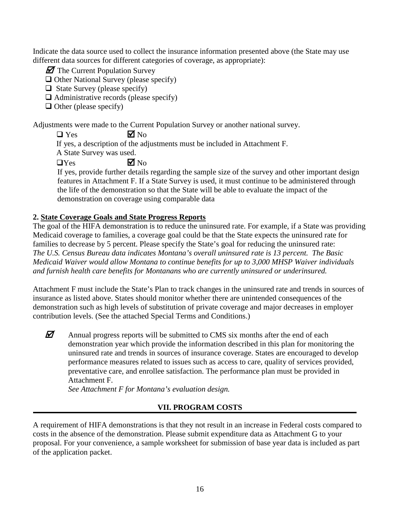Indicate the data source used to collect the insurance information presented above (the State may use different data sources for different categories of coverage, as appropriate):

 $\mathbf{\mathcal{D}}$  The Current Population Survey

 $\Box$  Other National Survey (please specify)

 $\Box$  State Survey (please specify)

 $\Box$  Administrative records (please specify)

 $\Box$  Other (please specify)

Adjustments were made to the Current Population Survey or another national survey.

 $\Box$  Yes  $\Box$  No

If yes, a description of the adjustments must be included in Attachment F.

A State Survey was used.

 $\Box$  Yes  $\Box$  No

If yes, provide further details regarding the sample size of the survey and other important design features in Attachment F. If a State Survey is used, it must continue to be administered through the life of the demonstration so that the State will be able to evaluate the impact of the demonstration on coverage using comparable data

# **2. State Coverage Goals and State Progress Reports**

The goal of the HIFA demonstration is to reduce the uninsured rate. For example, if a State was providing Medicaid coverage to families, a coverage goal could be that the State expects the uninsured rate for families to decrease by 5 percent. Please specify the State's goal for reducing the uninsured rate: *The U.S. Census Bureau data indicates Montana's overall uninsured rate is 13 percent. The Basic Medicaid Waiver would allow Montana to continue benefits for up to 3,000 MHSP Waiver individuals and furnish health care benefits for Montanans who are currently uninsured or underinsured.* 

Attachment F must include the State's Plan to track changes in the uninsured rate and trends in sources of insurance as listed above. States should monitor whether there are unintended consequences of the demonstration such as high levels of substitution of private coverage and major decreases in employer contribution levels. (See the attached Special Terms and Conditions.)

 $\mathbb Z$  Annual progress reports will be submitted to CMS six months after the end of each demonstration year which provide the information described in this plan for monitoring the uninsured rate and trends in sources of insurance coverage. States are encouraged to develop performance measures related to issues such as access to care, quality of services provided, preventative care, and enrollee satisfaction. The performance plan must be provided in Attachment F.

*See Attachment F for Montana's evaluation design.* 

# **VII. PROGRAM COSTS**

A requirement of HIFA demonstrations is that they not result in an increase in Federal costs compared to costs in the absence of the demonstration. Please submit expenditure data as Attachment G to your proposal. For your convenience, a sample worksheet for submission of base year data is included as part of the application packet.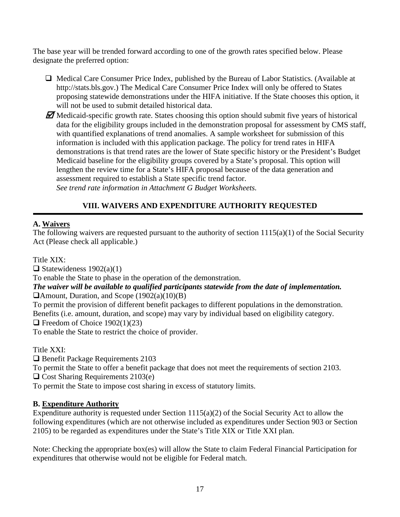The base year will be trended forward according to one of the growth rates specified below. Please designate the preferred option:

 $\Box$  Medical Care Consumer Price Index, published by the Bureau of Labor Statistics. (Available at http://stats.bls.gov.) The Medical Care Consumer Price Index will only be offered to States proposing statewide demonstrations under the HIFA initiative. If the State chooses this option, it will not be used to submit detailed historical data.

 $\mathbb Z$  Medicaid-specific growth rate. States choosing this option should submit five years of historical data for the eligibility groups included in the demonstration proposal for assessment by CMS staff, with quantified explanations of trend anomalies. A sample worksheet for submission of this information is included with this application package. The policy for trend rates in HIFA demonstrations is that trend rates are the lower of State specific history or the President's Budget Medicaid baseline for the eligibility groups covered by a State's proposal. This option will lengthen the review time for a State's HIFA proposal because of the data generation and assessment required to establish a State specific trend factor. *See trend rate information in Attachment G Budget Worksheets.*

# **VIII. WAIVERS AND EXPENDITURE AUTHORITY REQUESTED**

# **A. Waivers**

The following waivers are requested pursuant to the authority of section 1115(a)(1) of the Social Security Act (Please check all applicable.)

Title XIX:

 $\Box$  Statewideness 1902(a)(1)

To enable the State to phase in the operation of the demonstration.

#### *The waiver will be available to qualified participants statewide from the date of implementation.* Amount, Duration, and Scope (1902(a)(10)(B)

To permit the provision of different benefit packages to different populations in the demonstration. Benefits (i.e. amount, duration, and scope) may vary by individual based on eligibility category.

 $\Box$  Freedom of Choice 1902(1)(23)

To enable the State to restrict the choice of provider.

Title XXI:

□ Benefit Package Requirements 2103

To permit the State to offer a benefit package that does not meet the requirements of section 2103.

□ Cost Sharing Requirements 2103(e)

To permit the State to impose cost sharing in excess of statutory limits.

# **B. Expenditure Authority**

Expenditure authority is requested under Section 1115(a)(2) of the Social Security Act to allow the following expenditures (which are not otherwise included as expenditures under Section 903 or Section 2105) to be regarded as expenditures under the State's Title XIX or Title XXI plan.

Note: Checking the appropriate box(es) will allow the State to claim Federal Financial Participation for expenditures that otherwise would not be eligible for Federal match.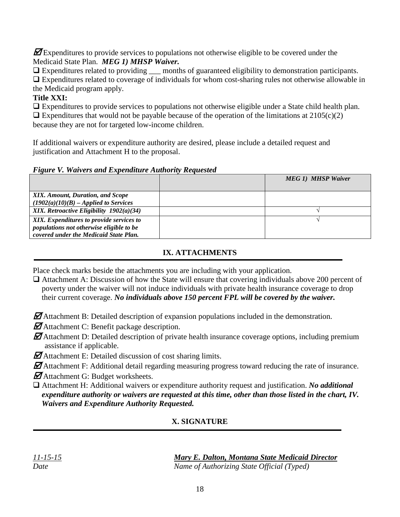$\mathbf Z$  Expenditures to provide services to populations not otherwise eligible to be covered under the Medicaid State Plan. *MEG 1) MHSP Waiver.*

Expenditures related to providing \_\_\_ months of guaranteed eligibility to demonstration participants.

 Expenditures related to coverage of individuals for whom cost-sharing rules not otherwise allowable in the Medicaid program apply.

# **Title XXI:**

 Expenditures to provide services to populations not otherwise eligible under a State child health plan.  $\Box$  Expenditures that would not be payable because of the operation of the limitations at 2105(c)(2)

because they are not for targeted low-income children.

If additional waivers or expenditure authority are desired, please include a detailed request and justification and Attachment H to the proposal.

*Figure V. Waivers and Expenditure Authority Requested*

|                                                                                                                                | <b>MEG 1) MHSP Waiver</b> |
|--------------------------------------------------------------------------------------------------------------------------------|---------------------------|
| XIX. Amount, Duration, and Scope<br>$(1902(a)(10)(B) - Applied to Services)$                                                   |                           |
| XIX. Retroactive Eligibility $1902(a)(34)$                                                                                     |                           |
| XIX. Expenditures to provide services to<br>populations not otherwise eligible to be<br>covered under the Medicaid State Plan. |                           |

# **IX. ATTACHMENTS**

Place check marks beside the attachments you are including with your application.

- Attachment A: Discussion of how the State will ensure that covering individuals above 200 percent of poverty under the waiver will not induce individuals with private health insurance coverage to drop their current coverage. *No individuals above 150 percent FPL will be covered by the waiver.*
- $\mathbb Z$  Attachment B: Detailed description of expansion populations included in the demonstration.
- $\mathbf{\mathcal{D}}$ Attachment C: Benefit package description.
- $\mathbf{\mathcal{D}}$  Attachment D: Detailed description of private health insurance coverage options, including premium assistance if applicable.
- $\mathbf{\mathcal{D}}$  Attachment E: Detailed discussion of cost sharing limits.
- $\mathbb Z$ Attachment F: Additional detail regarding measuring progress toward reducing the rate of insurance.
- $\mathbf{\mathcal{D}}$ Attachment G: Budget worksheets.
- Attachment H: Additional waivers or expenditure authority request and justification. *No additional expenditure authority or waivers are requested at this time, other than those listed in the chart, IV. Waivers and Expenditure Authority Requested.*

# **X. SIGNATURE**

| $-15-$<br>$\mathcal{L}$<br>$\prime$<br>$\mathbf{I}$ |  |
|-----------------------------------------------------|--|
| Date                                                |  |

*Mary E. Dalton, Montana State Medicaid Director Name of Authorizing State Official (Typed)*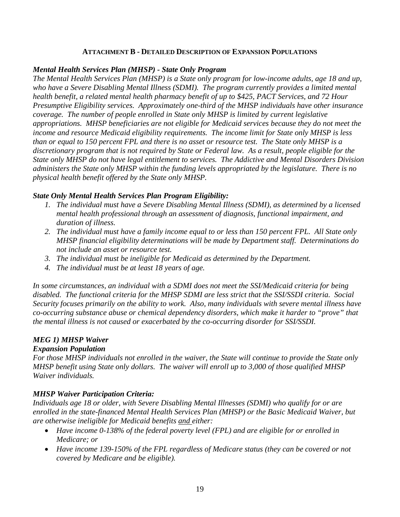#### **ATTACHMENT B - DETAILED DESCRIPTION OF EXPANSION POPULATIONS**

#### *Mental Health Services Plan (MHSP) - State Only Program*

*The Mental Health Services Plan (MHSP) is a State only program for low-income adults, age 18 and up, who have a Severe Disabling Mental Illness (SDMI). The program currently provides a limited mental health benefit, a related mental health pharmacy benefit of up to \$425, PACT Services, and 72 Hour Presumptive Eligibility services. Approximately one-third of the MHSP individuals have other insurance coverage. The number of people enrolled in State only MHSP is limited by current legislative appropriations. MHSP beneficiaries are not eligible for Medicaid services because they do not meet the income and resource Medicaid eligibility requirements. The income limit for State only MHSP is less than or equal to 150 percent FPL and there is no asset or resource test. The State only MHSP is a discretionary program that is not required by State or Federal law. As a result, people eligible for the State only MHSP do not have legal entitlement to services. The Addictive and Mental Disorders Division administers the State only MHSP within the funding levels appropriated by the legislature. There is no physical health benefit offered by the State only MHSP.*

### *State Only Mental Health Services Plan Program Eligibility:*

- *1. The individual must have a Severe Disabling Mental Illness (SDMI), as determined by a licensed mental health professional through an assessment of diagnosis, functional impairment, and duration of illness.*
- *2. The individual must have a family income equal to or less than 150 percent FPL. All State only MHSP financial eligibility determinations will be made by Department staff. Determinations do not include an asset or resource test.*
- *3. The individual must be ineligible for Medicaid as determined by the Department.*
- *4. The individual must be at least 18 years of age.*

*In some circumstances, an individual with a SDMI does not meet the SSI/Medicaid criteria for being disabled. The functional criteria for the MHSP SDMI are less strict that the SSI/SSDI criteria. Social Security focuses primarily on the ability to work. Also, many individuals with severe mental illness have co-occurring substance abuse or chemical dependency disorders, which make it harder to "prove" that the mental illness is not caused or exacerbated by the co-occurring disorder for SSI/SSDI.* 

# *MEG 1) MHSP Waiver*

### *Expansion Population*

*For those MHSP individuals not enrolled in the waiver, the State will continue to provide the State only MHSP benefit using State only dollars. The waiver will enroll up to 3,000 of those qualified MHSP Waiver individuals.* 

### *MHSP Waiver Participation Criteria:*

*Individuals age 18 or older, with Severe Disabling Mental Illnesses (SDMI) who qualify for or are enrolled in the state-financed Mental Health Services Plan (MHSP) or the Basic Medicaid Waiver, but are otherwise ineligible for Medicaid benefits and either:*

- *Have income 0-138% of the federal poverty level (FPL) and are eligible for or enrolled in Medicare; or*
- *Have income 139-150% of the FPL regardless of Medicare status (they can be covered or not covered by Medicare and be eligible).*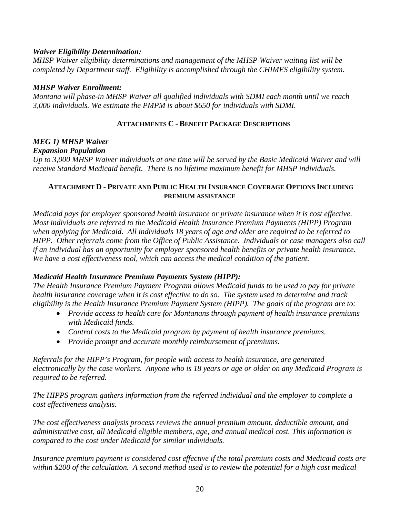#### *Waiver Eligibility Determination:*

*MHSP Waiver eligibility determinations and management of the MHSP Waiver waiting list will be completed by Department staff. Eligibility is accomplished through the CHIMES eligibility system.* 

#### *MHSP Waiver Enrollment:*

*Montana will phase-in MHSP Waiver all qualified individuals with SDMI each month until we reach 3,000 individuals. We estimate the PMPM is about \$650 for individuals with SDMI.* 

#### **ATTACHMENTS C - BENEFIT PACKAGE DESCRIPTIONS**

# *MEG 1) MHSP Waiver*

#### *Expansion Population*

*Up to 3,000 MHSP Waiver individuals at one time will be served by the Basic Medicaid Waiver and will receive Standard Medicaid benefit. There is no lifetime maximum benefit for MHSP individuals.* 

#### **ATTACHMENT D - PRIVATE AND PUBLIC HEALTH INSURANCE COVERAGE OPTIONS INCLUDING PREMIUM ASSISTANCE**

*Medicaid pays for employer sponsored health insurance or private insurance when it is cost effective. Most individuals are referred to the Medicaid Health Insurance Premium Payments (HIPP) Program when applying for Medicaid. All individuals 18 years of age and older are required to be referred to HIPP. Other referrals come from the Office of Public Assistance. Individuals or case managers also call if an individual has an opportunity for employer sponsored health benefits or private health insurance. We have a cost effectiveness tool, which can access the medical condition of the patient.*

### *Medicaid Health Insurance Premium Payments System (HIPP):*

*The Health Insurance Premium Payment Program allows Medicaid funds to be used to pay for private health insurance coverage when it is cost effective to do so. The system used to determine and track eligibility is the Health Insurance Premium Payment System (HIPP). The goals of the program are to:*

- *Provide access to health care for Montanans through payment of health insurance premiums with Medicaid funds.*
- *Control costs to the Medicaid program by payment of health insurance premiums.*
- *Provide prompt and accurate monthly reimbursement of premiums.*

*Referrals for the HIPP's Program, for people with access to health insurance, are generated electronically by the case workers. Anyone who is 18 years or age or older on any Medicaid Program is required to be referred.* 

*The HIPPS program gathers information from the referred individual and the employer to complete a cost effectiveness analysis.* 

*The cost effectiveness analysis process reviews the annual premium amount, deductible amount, and administrative cost, all Medicaid eligible members, age, and annual medical cost. This information is compared to the cost under Medicaid for similar individuals.*

*Insurance premium payment is considered cost effective if the total premium costs and Medicaid costs are within \$200 of the calculation. A second method used is to review the potential for a high cost medical*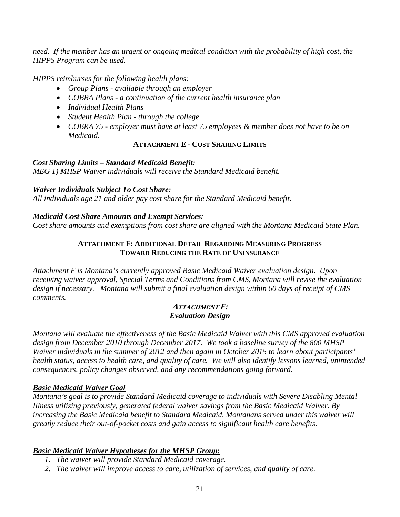*need. If the member has an urgent or ongoing medical condition with the probability of high cost, the HIPPS Program can be used.* 

*HIPPS reimburses for the following health plans:*

- *Group Plans - available through an employer*
- *COBRA Plans - a continuation of the current health insurance plan*
- *Individual Health Plans*
- *Student Health Plan - through the college*
- *COBRA 75 - employer must have at least 75 employees & member does not have to be on Medicaid.*

### **ATTACHMENT E - COST SHARING LIMITS**

#### *Cost Sharing Limits – Standard Medicaid Benefit:*

*MEG 1) MHSP Waiver individuals will receive the Standard Medicaid benefit.* 

### *Waiver Individuals Subject To Cost Share:*

*All individuals age 21 and older pay cost share for the Standard Medicaid benefit.* 

### *Medicaid Cost Share Amounts and Exempt Services:*

*Cost share amounts and exemptions from cost share are aligned with the Montana Medicaid State Plan.*

### **ATTACHMENT F: ADDITIONAL DETAIL REGARDING MEASURING PROGRESS TOWARD REDUCING THE RATE OF UNINSURANCE**

*Attachment F is Montana's currently approved Basic Medicaid Waiver evaluation design. Upon receiving waiver approval, Special Terms and Conditions from CMS, Montana will revise the evaluation design if necessary. Montana will submit a final evaluation design within 60 days of receipt of CMS comments.* 

#### **ATTACHMENT F:** *Evaluation Design*

*Montana will evaluate the effectiveness of the Basic Medicaid Waiver with this CMS approved evaluation design from December 2010 through December 2017. We took a baseline survey of the 800 MHSP Waiver individuals in the summer of 2012 and then again in October 2015 to learn about participants' health status, access to health care, and quality of care. We will also identify lessons learned, unintended consequences, policy changes observed, and any recommendations going forward.*

### *Basic Medicaid Waiver Goal*

*Montana's goal is to provide Standard Medicaid coverage to individuals with Severe Disabling Mental Illness utilizing previously, generated federal waiver savings from the Basic Medicaid Waiver. By increasing the Basic Medicaid benefit to Standard Medicaid, Montanans served under this waiver will greatly reduce their out-of-pocket costs and gain access to significant health care benefits.*

# *Basic Medicaid Waiver Hypotheses for the MHSP Group:*

- *1. The waiver will provide Standard Medicaid coverage.*
- *2. The waiver will improve access to care, utilization of services, and quality of care.*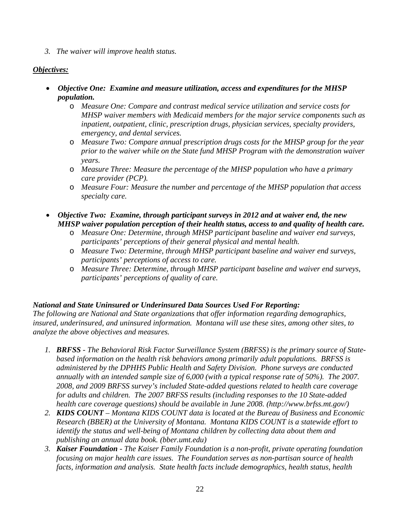*3. The waiver will improve health status.*

### *Objectives:*

- *Objective One: Examine and measure utilization, access and expenditures for the MHSP population.*
	- o *Measure One: Compare and contrast medical service utilization and service costs for MHSP waiver members with Medicaid members for the major service components such as inpatient, outpatient, clinic, prescription drugs, physician services, specialty providers, emergency, and dental services.*
	- o *Measure Two: Compare annual prescription drugs costs for the MHSP group for the year prior to the waiver while on the State fund MHSP Program with the demonstration waiver years.*
	- o *Measure Three: Measure the percentage of the MHSP population who have a primary care provider (PCP).*
	- o *Measure Four: Measure the number and percentage of the MHSP population that access specialty care.*
- *Objective Two: Examine, through participant surveys in 2012 and at waiver end, the new MHSP waiver population perception of their health status, access to and quality of health care.*
	- o *Measure One: Determine, through MHSP participant baseline and waiver end surveys, participants' perceptions of their general physical and mental health.*
	- o *Measure Two: Determine, through MHSP participant baseline and waiver end surveys, participants' perceptions of access to care.*
	- o *Measure Three: Determine, through MHSP participant baseline and waiver end surveys, participants' perceptions of quality of care.*

### *National and State Uninsured or Underinsured Data Sources Used For Reporting:*

*The following are National and State organizations that offer information regarding demographics, insured, underinsured, and uninsured information. Montana will use these sites, among other sites, to analyze the above objectives and measures.* 

- *1. BRFSS - The Behavioral Risk Factor Surveillance System (BRFSS) is the primary source of Statebased information on the health risk behaviors among primarily adult populations. BRFSS is administered by the DPHHS Public Health and Safety Division. Phone surveys are conducted annually with an intended sample size of 6,000 (with a typical response rate of 50%). The 2007. 2008, and 2009 BRFSS survey's included State-added questions related to health care coverage for adults and children. The 2007 BRFSS results (including responses to the 10 State-added health care coverage questions) should be available in June 2008. (http://www.brfss.mt.gov/)*
- *2. KIDS COUNT – Montana KIDS COUNT data is located at the Bureau of Business and Economic Research (BBER) at the University of Montana. Montana KIDS COUNT is a statewide effort to identify the status and well-being of Montana children by collecting data about them and publishing an annual data book. (bber.umt.edu)*
- *3. Kaiser Foundation - The Kaiser Family Foundation is a non-profit, private operating foundation focusing on major health care issues. The Foundation serves as non-partisan source of health facts, information and analysis. State health facts include demographics, health status, health*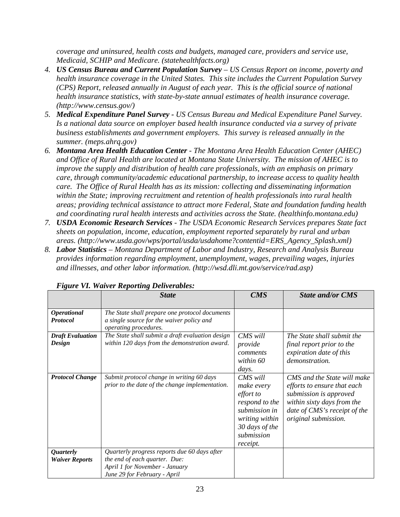*coverage and uninsured, health costs and budgets, managed care, providers and service use, Medicaid, SCHIP and Medicare. (statehealthfacts.org)*

- *4. US Census Bureau and Current Population Survey – US Census Report on income, poverty and health insurance coverage in the United States. This site includes the Current Population Survey (CPS) Report, released annually in August of each year. This is the official source of national health insurance statistics, with state-by-state annual estimates of health insurance coverage. (http://www.census.gov/)*
- *5. Medical Expenditure Panel Survey - US Census Bureau and Medical Expenditure Panel Survey. Is a national data source on employer based health insurance conducted via a survey of private business establishments and government employers. This survey is released annually in the summer. (meps.ahrq.gov)*
- *6. Montana Area Health Education Center - The Montana Area Health Education Center (AHEC) and Office of Rural Health are located at Montana State University. The mission of AHEC is to improve the supply and distribution of health care professionals, with an emphasis on primary care, through community/academic educational partnership, to increase access to quality health care. The Office of Rural Health has as its mission: collecting and disseminating information within the State; improving recruitment and retention of health professionals into rural health areas; providing technical assistance to attract more Federal, State and foundation funding health and coordinating rural health interests and activities across the State. (healthinfo.montana.edu)*
- *7. USDA Economic Research Services - The USDA Economic Research Services prepares State fact sheets on population, income, education, employment reported separately by rural and urban areas. (http://www.usda.gov/wps/portal/usda/usdahome?contentid=ERS\_Agency\_Splash.xml)*
- *8. Labor Statistics – Montana Department of Labor and Industry, Research and Analysis Bureau provides information regarding employment, unemployment, wages, prevailing wages, injuries and illnesses, and other labor information. (http://wsd.dli.mt.gov/service/rad.asp)*

|                                           | <b>State</b>                                                                                                                                    | <b>CMS</b>                                                                                                                                  | <b>State and/or CMS</b>                                                                                                                                                    |
|-------------------------------------------|-------------------------------------------------------------------------------------------------------------------------------------------------|---------------------------------------------------------------------------------------------------------------------------------------------|----------------------------------------------------------------------------------------------------------------------------------------------------------------------------|
| <b>Operational</b><br><b>Protocol</b>     | The State shall prepare one protocol documents<br>a single source for the waiver policy and<br>operating procedures.                            |                                                                                                                                             |                                                                                                                                                                            |
| <b>Draft Evaluation</b><br>Design         | The State shall submit a draft evaluation design<br>within 120 days from the demonstration award.                                               | CMS will<br>provide<br>comments<br>within 60<br>days.                                                                                       | The State shall submit the<br>final report prior to the<br>expiration date of this<br>demonstration.                                                                       |
| <b>Protocol Change</b>                    | Submit protocol change in writing 60 days<br>prior to the date of the change implementation.                                                    | CMS will<br>make every<br><i>effort to</i><br>respond to the<br>submission in<br>writing within<br>30 days of the<br>submission<br>receipt. | CMS and the State will make<br>efforts to ensure that each<br>submission is approved<br>within sixty days from the<br>date of CMS's receipt of the<br>original submission. |
| <i>Quarterly</i><br><b>Waiver Reports</b> | Quarterly progress reports due 60 days after<br>the end of each quarter. Due:<br>April 1 for November - January<br>June 29 for February - April |                                                                                                                                             |                                                                                                                                                                            |

#### *Figure VI. Waiver Reporting Deliverables:*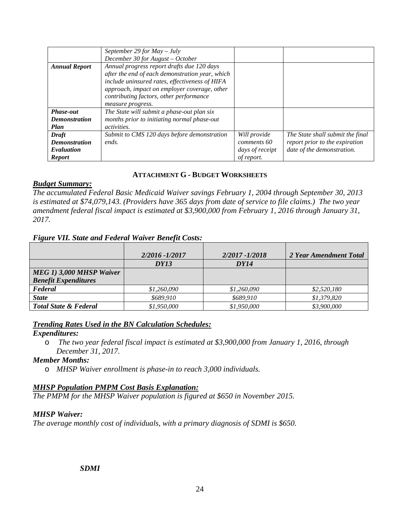|                      | September 29 for $May - July$                   |                 |                                  |
|----------------------|-------------------------------------------------|-----------------|----------------------------------|
|                      | December 30 for August - October                |                 |                                  |
| <b>Annual Report</b> | Annual progress report drafts due 120 days      |                 |                                  |
|                      | after the end of each demonstration year, which |                 |                                  |
|                      | include uninsured rates, effectiveness of HIFA  |                 |                                  |
|                      | approach, impact on employer coverage, other    |                 |                                  |
|                      | contributing factors, other performance         |                 |                                  |
|                      | measure progress.                               |                 |                                  |
| Phase-out            | The State will submit a phase-out plan six      |                 |                                  |
| <b>Demonstration</b> | months prior to initiating normal phase-out     |                 |                                  |
| Plan                 | <i>activities.</i>                              |                 |                                  |
| <b>Draft</b>         | Submit to CMS 120 days before demonstration     | Will provide    | The State shall submit the final |
| <b>Demonstration</b> | ends.                                           | comments 60     | report prior to the expiration   |
| Evaluation           |                                                 | days of receipt | date of the demonstration.       |
| <b>Report</b>        |                                                 | of report.      |                                  |

### **ATTACHMENT G - BUDGET WORKSHEETS**

#### *Budget Summary:*

*The accumulated Federal Basic Medicaid Waiver savings February 1, 2004 through September 30, 2013 is estimated at \$74,079,143. (Providers have 365 days from date of service to file claims.) The two year amendment federal fiscal impact is estimated at \$3,900,000 from February 1, 2016 through January 31, 2017.*

#### *Figure VII. State and Federal Waiver Benefit Costs:*

|                                  | 2/2016 - 1/2017 | 2/2017 - 1/2018 | 2 Year Amendment Total |
|----------------------------------|-----------------|-----------------|------------------------|
|                                  | DY13            | DY14            |                        |
| MEG 1) 3,000 MHSP Waiver         |                 |                 |                        |
| <b>Benefit Expenditures</b>      |                 |                 |                        |
| Federal                          | \$1,260,090     | \$1,260,090     | \$2,520,180            |
| <b>State</b>                     | \$689,910       | \$689.910       | \$1,379,820            |
| <b>Total State &amp; Federal</b> | \$1,950,000     | \$1,950,000     | \$3,900,000            |

#### *Trending Rates Used in the BN Calculation Schedules:*

#### *Expenditures:*

o *The two year federal fiscal impact is estimated at \$3,900,000 from January 1, 2016, through December 31, 2017.*

#### *Member Months:*

o *MHSP Waiver enrollment is phase-in to reach 3,000 individuals.*

#### *MHSP Population PMPM Cost Basis Explanation:*

*The PMPM for the MHSP Waiver population is figured at \$650 in November 2015.* 

#### *MHSP Waiver:*

*The average monthly cost of individuals, with a primary diagnosis of SDMI is \$650.*